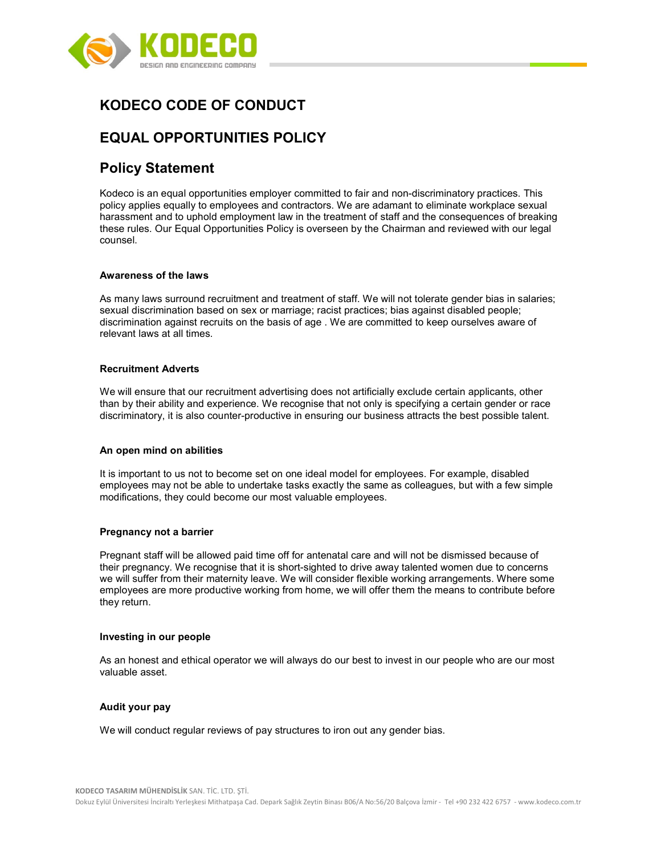

# KODECO CODE OF CONDUCT

# EQUAL OPPORTUNITIES POLICY

# Policy Statement

Kodeco is an equal opportunities employer committed to fair and non-discriminatory practices. This policy applies equally to employees and contractors. We are adamant to eliminate workplace sexual harassment and to uphold employment law in the treatment of staff and the consequences of breaking these rules. Our Equal Opportunities Policy is overseen by the Chairman and reviewed with our legal counsel.

## Awareness of the laws

As many laws surround recruitment and treatment of staff. We will not tolerate gender bias in salaries; sexual discrimination based on sex or marriage; racist practices; bias against disabled people; discrimination against recruits on the basis of age . We are committed to keep ourselves aware of relevant laws at all times.

### Recruitment Adverts

We will ensure that our recruitment advertising does not artificially exclude certain applicants, other than by their ability and experience. We recognise that not only is specifying a certain gender or race discriminatory, it is also counter-productive in ensuring our business attracts the best possible talent.

#### An open mind on abilities

It is important to us not to become set on one ideal model for employees. For example, disabled employees may not be able to undertake tasks exactly the same as colleagues, but with a few simple modifications, they could become our most valuable employees.

#### Pregnancy not a barrier

Pregnant staff will be allowed paid time off for antenatal care and will not be dismissed because of their pregnancy. We recognise that it is short-sighted to drive away talented women due to concerns we will suffer from their maternity leave. We will consider flexible working arrangements. Where some employees are more productive working from home, we will offer them the means to contribute before they return.

#### Investing in our people

As an honest and ethical operator we will always do our best to invest in our people who are our most valuable asset.

#### Audit your pay

We will conduct regular reviews of pay structures to iron out any gender bias.